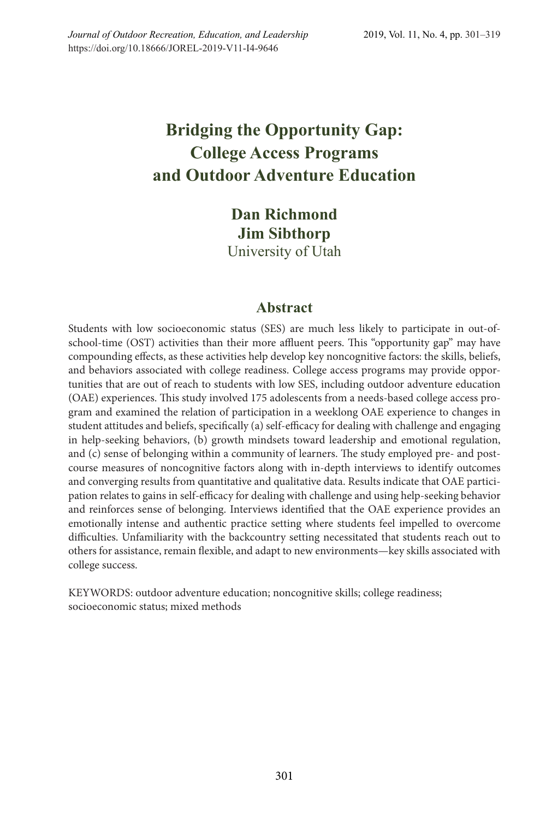# **Bridging the Opportunity Gap: College Access Programs and Outdoor Adventure Education**

**Dan Richmond Jim Sibthorp** University of Utah

# **Abstract**

Students with low socioeconomic status (SES) are much less likely to participate in out-ofschool-time (OST) activities than their more affluent peers. This "opportunity gap" may have compounding effects, as these activities help develop key noncognitive factors: the skills, beliefs, and behaviors associated with college readiness. College access programs may provide opportunities that are out of reach to students with low SES, including outdoor adventure education (OAE) experiences. This study involved 175 adolescents from a needs-based college access program and examined the relation of participation in a weeklong OAE experience to changes in student attitudes and beliefs, specifically (a) self-efficacy for dealing with challenge and engaging in help-seeking behaviors, (b) growth mindsets toward leadership and emotional regulation, and (c) sense of belonging within a community of learners. The study employed pre- and postcourse measures of noncognitive factors along with in-depth interviews to identify outcomes and converging results from quantitative and qualitative data. Results indicate that OAE participation relates to gains in self-efficacy for dealing with challenge and using help-seeking behavior and reinforces sense of belonging. Interviews identified that the OAE experience provides an emotionally intense and authentic practice setting where students feel impelled to overcome difficulties. Unfamiliarity with the backcountry setting necessitated that students reach out to others for assistance, remain flexible, and adapt to new environments—key skills associated with college success.

KEYWORDS: outdoor adventure education; noncognitive skills; college readiness; socioeconomic status; mixed methods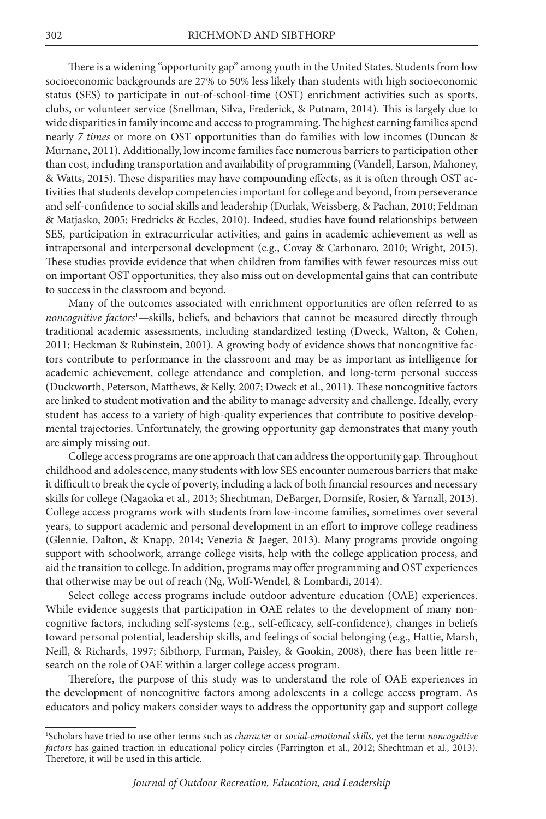There is a widening "opportunity gap" among youth in the United States. Students from low socioeconomic backgrounds are 27% to 50% less likely than students with high socioeconomic status (SES) to participate in out-of-school-time (OST) enrichment activities such as sports, clubs, or volunteer service (Snellman, Silva, Frederick, & Putnam, 2014). This is largely due to wide disparities in family income and access to programming. The highest earning families spend nearly *7 times* or more on OST opportunities than do families with low incomes (Duncan & Murnane, 2011). Additionally, low income families face numerous barriers to participation other than cost, including transportation and availability of programming (Vandell, Larson, Mahoney, & Watts, 2015). These disparities may have compounding effects, as it is often through OST activities that students develop competencies important for college and beyond, from perseverance and self-confidence to social skills and leadership (Durlak, Weissberg, & Pachan, 2010; Feldman & Matjasko, 2005; Fredricks & Eccles, 2010). Indeed, studies have found relationships between SES, participation in extracurricular activities, and gains in academic achievement as well as intrapersonal and interpersonal development (e.g., Covay & Carbonaro, 2010; Wright, 2015). These studies provide evidence that when children from families with fewer resources miss out on important OST opportunities, they also miss out on developmental gains that can contribute to success in the classroom and beyond.

Many of the outcomes associated with enrichment opportunities are often referred to as *noncognitive factors*<sup>1</sup> —skills, beliefs, and behaviors that cannot be measured directly through traditional academic assessments, including standardized testing (Dweck, Walton, & Cohen, 2011; Heckman & Rubinstein, 2001). A growing body of evidence shows that noncognitive factors contribute to performance in the classroom and may be as important as intelligence for academic achievement, college attendance and completion, and long-term personal success (Duckworth, Peterson, Matthews, & Kelly, 2007; Dweck et al., 2011). These noncognitive factors are linked to student motivation and the ability to manage adversity and challenge. Ideally, every student has access to a variety of high-quality experiences that contribute to positive developmental trajectories. Unfortunately, the growing opportunity gap demonstrates that many youth are simply missing out.

College access programs are one approach that can address the opportunity gap. Throughout childhood and adolescence, many students with low SES encounter numerous barriers that make it difficult to break the cycle of poverty, including a lack of both financial resources and necessary skills for college (Nagaoka et al., 2013; Shechtman, DeBarger, Dornsife, Rosier, & Yarnall, 2013). College access programs work with students from low-income families, sometimes over several years, to support academic and personal development in an effort to improve college readiness (Glennie, Dalton, & Knapp, 2014; Venezia & Jaeger, 2013). Many programs provide ongoing support with schoolwork, arrange college visits, help with the college application process, and aid the transition to college. In addition, programs may offer programming and OST experiences that otherwise may be out of reach (Ng, Wolf-Wendel, & Lombardi, 2014).

Select college access programs include outdoor adventure education (OAE) experiences. While evidence suggests that participation in OAE relates to the development of many noncognitive factors, including self-systems (e.g., self-efficacy, self-confidence), changes in beliefs toward personal potential, leadership skills, and feelings of social belonging (e.g., Hattie, Marsh, Neill, & Richards, 1997; Sibthorp, Furman, Paisley, & Gookin, 2008), there has been little research on the role of OAE within a larger college access program.

Therefore, the purpose of this study was to understand the role of OAE experiences in the development of noncognitive factors among adolescents in a college access program. As educators and policy makers consider ways to address the opportunity gap and support college

<sup>1</sup> Scholars have tried to use other terms such as *character* or *social-emotional skills*, yet the term *noncognitive* factors has gained traction in educational policy circles (Farrington et al., 2012; Shechtman et al., 2013). Therefore, it will be used in this article.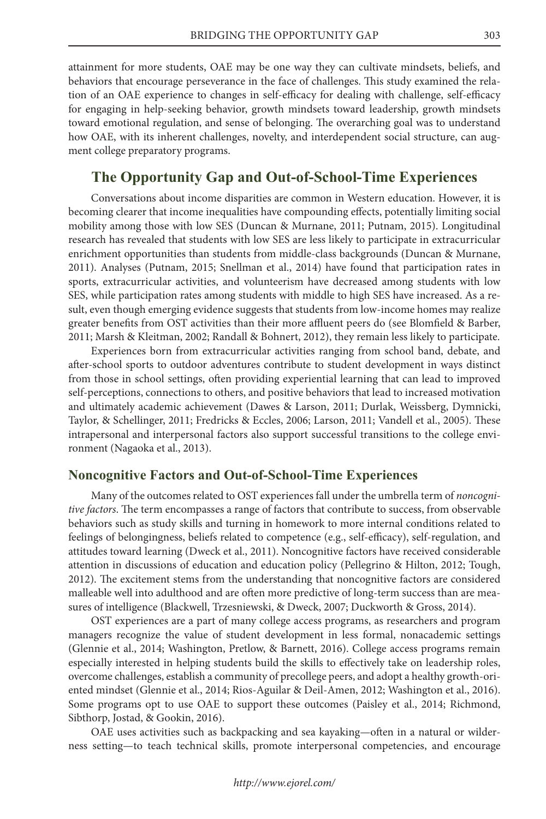attainment for more students, OAE may be one way they can cultivate mindsets, beliefs, and behaviors that encourage perseverance in the face of challenges. This study examined the relation of an OAE experience to changes in self-efficacy for dealing with challenge, self-efficacy for engaging in help-seeking behavior, growth mindsets toward leadership, growth mindsets toward emotional regulation, and sense of belonging. The overarching goal was to understand how OAE, with its inherent challenges, novelty, and interdependent social structure, can augment college preparatory programs.

# **The Opportunity Gap and Out-of-School-Time Experiences**

Conversations about income disparities are common in Western education. However, it is becoming clearer that income inequalities have compounding effects, potentially limiting social mobility among those with low SES (Duncan & Murnane, 2011; Putnam, 2015). Longitudinal research has revealed that students with low SES are less likely to participate in extracurricular enrichment opportunities than students from middle-class backgrounds (Duncan & Murnane, 2011). Analyses (Putnam, 2015; Snellman et al., 2014) have found that participation rates in sports, extracurricular activities, and volunteerism have decreased among students with low SES, while participation rates among students with middle to high SES have increased. As a result, even though emerging evidence suggests that students from low-income homes may realize greater benefits from OST activities than their more affluent peers do (see Blomfield & Barber, 2011; Marsh & Kleitman, 2002; Randall & Bohnert, 2012), they remain less likely to participate.

Experiences born from extracurricular activities ranging from school band, debate, and after-school sports to outdoor adventures contribute to student development in ways distinct from those in school settings, often providing experiential learning that can lead to improved self-perceptions, connections to others, and positive behaviors that lead to increased motivation and ultimately academic achievement (Dawes & Larson, 2011; Durlak, Weissberg, Dymnicki, Taylor, & Schellinger, 2011; Fredricks & Eccles, 2006; Larson, 2011; Vandell et al., 2005). These intrapersonal and interpersonal factors also support successful transitions to the college environment (Nagaoka et al., 2013).

## **Noncognitive Factors and Out-of-School-Time Experiences**

Many of the outcomes related to OST experiences fall under the umbrella term of *noncognitive factors*. The term encompasses a range of factors that contribute to success, from observable behaviors such as study skills and turning in homework to more internal conditions related to feelings of belongingness, beliefs related to competence (e.g., self-efficacy), self-regulation, and attitudes toward learning (Dweck et al., 2011). Noncognitive factors have received considerable attention in discussions of education and education policy (Pellegrino & Hilton, 2012; Tough, 2012). The excitement stems from the understanding that noncognitive factors are considered malleable well into adulthood and are often more predictive of long-term success than are measures of intelligence (Blackwell, Trzesniewski, & Dweck, 2007; Duckworth & Gross, 2014).

OST experiences are a part of many college access programs, as researchers and program managers recognize the value of student development in less formal, nonacademic settings (Glennie et al., 2014; Washington, Pretlow, & Barnett, 2016). College access programs remain especially interested in helping students build the skills to effectively take on leadership roles, overcome challenges, establish a community of precollege peers, and adopt a healthy growth-oriented mindset (Glennie et al., 2014; Rios-Aguilar & Deil-Amen, 2012; Washington et al., 2016). Some programs opt to use OAE to support these outcomes (Paisley et al., 2014; Richmond, Sibthorp, Jostad, & Gookin, 2016).

OAE uses activities such as backpacking and sea kayaking—often in a natural or wilderness setting—to teach technical skills, promote interpersonal competencies, and encourage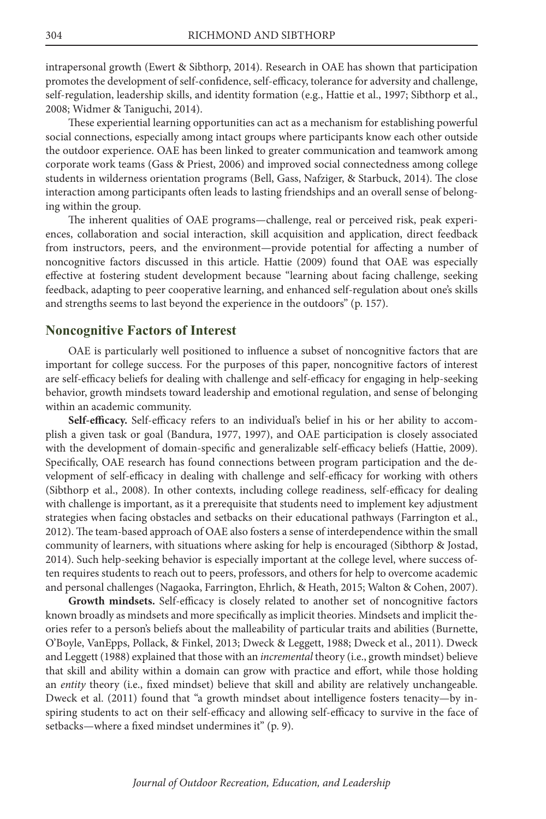intrapersonal growth (Ewert & Sibthorp, 2014). Research in OAE has shown that participation promotes the development of self-confidence, self-efficacy, tolerance for adversity and challenge, self-regulation, leadership skills, and identity formation (e.g., Hattie et al., 1997; Sibthorp et al., 2008; Widmer & Taniguchi, 2014).

These experiential learning opportunities can act as a mechanism for establishing powerful social connections, especially among intact groups where participants know each other outside the outdoor experience. OAE has been linked to greater communication and teamwork among corporate work teams (Gass & Priest, 2006) and improved social connectedness among college students in wilderness orientation programs (Bell, Gass, Nafziger, & Starbuck, 2014). The close interaction among participants often leads to lasting friendships and an overall sense of belonging within the group.

The inherent qualities of OAE programs—challenge, real or perceived risk, peak experiences, collaboration and social interaction, skill acquisition and application, direct feedback from instructors, peers, and the environment—provide potential for affecting a number of noncognitive factors discussed in this article. Hattie (2009) found that OAE was especially effective at fostering student development because "learning about facing challenge, seeking feedback, adapting to peer cooperative learning, and enhanced self-regulation about one's skills and strengths seems to last beyond the experience in the outdoors" (p. 157).

#### **Noncognitive Factors of Interest**

OAE is particularly well positioned to influence a subset of noncognitive factors that are important for college success. For the purposes of this paper, noncognitive factors of interest are self-efficacy beliefs for dealing with challenge and self-efficacy for engaging in help-seeking behavior, growth mindsets toward leadership and emotional regulation, and sense of belonging within an academic community.

**Self-efficacy.** Self-efficacy refers to an individual's belief in his or her ability to accomplish a given task or goal (Bandura, 1977, 1997), and OAE participation is closely associated with the development of domain-specific and generalizable self-efficacy beliefs (Hattie, 2009). Specifically, OAE research has found connections between program participation and the development of self-efficacy in dealing with challenge and self-efficacy for working with others (Sibthorp et al., 2008). In other contexts, including college readiness, self-efficacy for dealing with challenge is important, as it a prerequisite that students need to implement key adjustment strategies when facing obstacles and setbacks on their educational pathways (Farrington et al., 2012). The team-based approach of OAE also fosters a sense of interdependence within the small community of learners, with situations where asking for help is encouraged (Sibthorp & Jostad, 2014). Such help-seeking behavior is especially important at the college level, where success often requires students to reach out to peers, professors, and others for help to overcome academic and personal challenges (Nagaoka, Farrington, Ehrlich, & Heath, 2015; Walton & Cohen, 2007).

**Growth mindsets.** Self-efficacy is closely related to another set of noncognitive factors known broadly as mindsets and more specifically as implicit theories. Mindsets and implicit theories refer to a person's beliefs about the malleability of particular traits and abilities (Burnette, O'Boyle, VanEpps, Pollack, & Finkel, 2013; Dweck & Leggett, 1988; Dweck et al., 2011). Dweck and Leggett (1988) explained that those with an *incremental* theory (i.e., growth mindset) believe that skill and ability within a domain can grow with practice and effort, while those holding an *entity* theory (i.e., fixed mindset) believe that skill and ability are relatively unchangeable. Dweck et al. (2011) found that "a growth mindset about intelligence fosters tenacity—by inspiring students to act on their self-efficacy and allowing self-efficacy to survive in the face of setbacks—where a fixed mindset undermines it" (p. 9).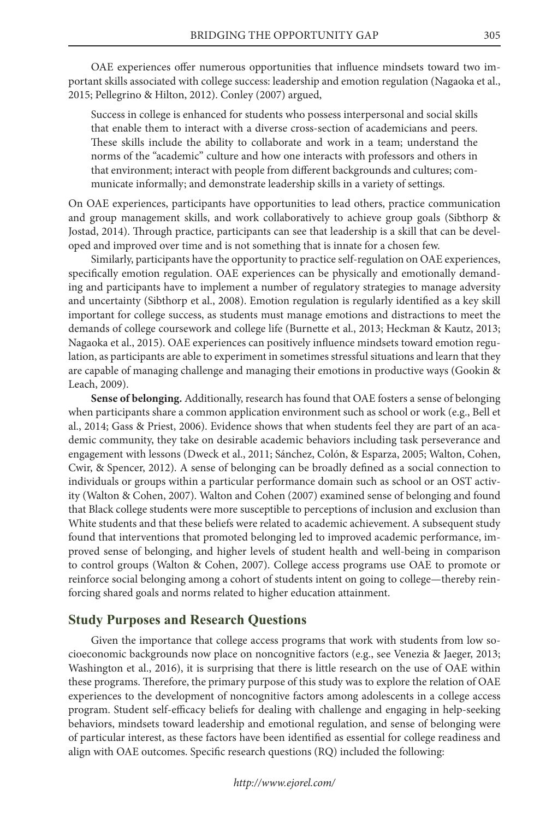OAE experiences offer numerous opportunities that influence mindsets toward two important skills associated with college success: leadership and emotion regulation (Nagaoka et al., 2015; Pellegrino & Hilton, 2012). Conley (2007) argued,

Success in college is enhanced for students who possess interpersonal and social skills that enable them to interact with a diverse cross-section of academicians and peers. These skills include the ability to collaborate and work in a team; understand the norms of the "academic" culture and how one interacts with professors and others in that environment; interact with people from different backgrounds and cultures; communicate informally; and demonstrate leadership skills in a variety of settings.

On OAE experiences, participants have opportunities to lead others, practice communication and group management skills, and work collaboratively to achieve group goals (Sibthorp & Jostad, 2014). Through practice, participants can see that leadership is a skill that can be developed and improved over time and is not something that is innate for a chosen few.

Similarly, participants have the opportunity to practice self-regulation on OAE experiences, specifically emotion regulation. OAE experiences can be physically and emotionally demanding and participants have to implement a number of regulatory strategies to manage adversity and uncertainty (Sibthorp et al., 2008). Emotion regulation is regularly identified as a key skill important for college success, as students must manage emotions and distractions to meet the demands of college coursework and college life (Burnette et al., 2013; Heckman & Kautz, 2013; Nagaoka et al., 2015). OAE experiences can positively influence mindsets toward emotion regulation, as participants are able to experiment in sometimes stressful situations and learn that they are capable of managing challenge and managing their emotions in productive ways (Gookin & Leach, 2009).

**Sense of belonging.** Additionally, research has found that OAE fosters a sense of belonging when participants share a common application environment such as school or work (e.g., Bell et al., 2014; Gass & Priest, 2006). Evidence shows that when students feel they are part of an academic community, they take on desirable academic behaviors including task perseverance and engagement with lessons (Dweck et al., 2011; Sánchez, Colón, & Esparza, 2005; Walton, Cohen, Cwir, & Spencer, 2012). A sense of belonging can be broadly defined as a social connection to individuals or groups within a particular performance domain such as school or an OST activity (Walton & Cohen, 2007). Walton and Cohen (2007) examined sense of belonging and found that Black college students were more susceptible to perceptions of inclusion and exclusion than White students and that these beliefs were related to academic achievement. A subsequent study found that interventions that promoted belonging led to improved academic performance, improved sense of belonging, and higher levels of student health and well-being in comparison to control groups (Walton & Cohen, 2007). College access programs use OAE to promote or reinforce social belonging among a cohort of students intent on going to college—thereby reinforcing shared goals and norms related to higher education attainment.

## **Study Purposes and Research Questions**

Given the importance that college access programs that work with students from low socioeconomic backgrounds now place on noncognitive factors (e.g., see Venezia & Jaeger, 2013; Washington et al., 2016), it is surprising that there is little research on the use of OAE within these programs. Therefore, the primary purpose of this study was to explore the relation of OAE experiences to the development of noncognitive factors among adolescents in a college access program. Student self-efficacy beliefs for dealing with challenge and engaging in help-seeking behaviors, mindsets toward leadership and emotional regulation, and sense of belonging were of particular interest, as these factors have been identified as essential for college readiness and align with OAE outcomes. Specific research questions (RQ) included the following: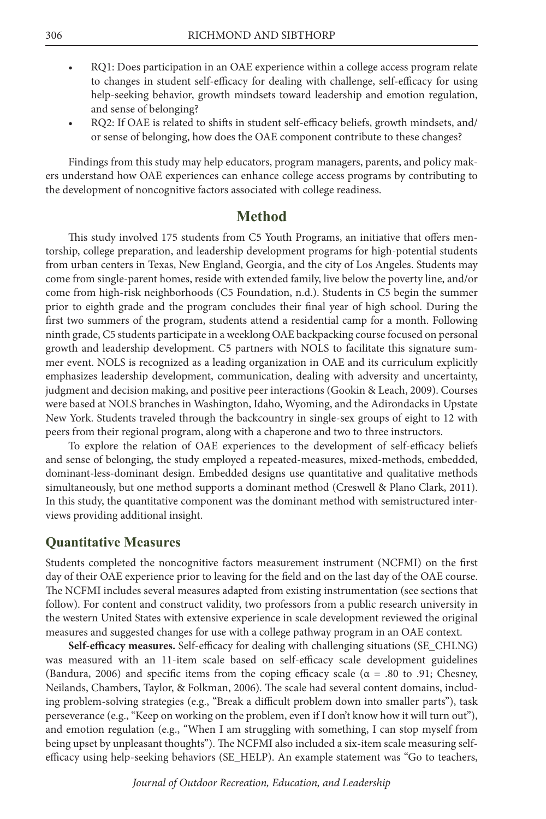- RQ1: Does participation in an OAE experience within a college access program relate to changes in student self-efficacy for dealing with challenge, self-efficacy for using help-seeking behavior, growth mindsets toward leadership and emotion regulation, and sense of belonging?
- RQ2: If OAE is related to shifts in student self-efficacy beliefs, growth mindsets, and/ or sense of belonging, how does the OAE component contribute to these changes?

Findings from this study may help educators, program managers, parents, and policy makers understand how OAE experiences can enhance college access programs by contributing to the development of noncognitive factors associated with college readiness.

# **Method**

This study involved 175 students from C5 Youth Programs, an initiative that offers mentorship, college preparation, and leadership development programs for high-potential students from urban centers in Texas, New England, Georgia, and the city of Los Angeles. Students may come from single-parent homes, reside with extended family, live below the poverty line, and/or come from high-risk neighborhoods (C5 Foundation, n.d.). Students in C5 begin the summer prior to eighth grade and the program concludes their final year of high school. During the first two summers of the program, students attend a residential camp for a month. Following ninth grade, C5 students participate in a weeklong OAE backpacking course focused on personal growth and leadership development. C5 partners with NOLS to facilitate this signature summer event. NOLS is recognized as a leading organization in OAE and its curriculum explicitly emphasizes leadership development, communication, dealing with adversity and uncertainty, judgment and decision making, and positive peer interactions (Gookin & Leach, 2009). Courses were based at NOLS branches in Washington, Idaho, Wyoming, and the Adirondacks in Upstate New York. Students traveled through the backcountry in single-sex groups of eight to 12 with peers from their regional program, along with a chaperone and two to three instructors.

To explore the relation of OAE experiences to the development of self-efficacy beliefs and sense of belonging, the study employed a repeated-measures, mixed-methods, embedded, dominant-less-dominant design. Embedded designs use quantitative and qualitative methods simultaneously, but one method supports a dominant method (Creswell & Plano Clark, 2011). In this study, the quantitative component was the dominant method with semistructured interviews providing additional insight.

## **Quantitative Measures**

Students completed the noncognitive factors measurement instrument (NCFMI) on the first day of their OAE experience prior to leaving for the field and on the last day of the OAE course. The NCFMI includes several measures adapted from existing instrumentation (see sections that follow). For content and construct validity, two professors from a public research university in the western United States with extensive experience in scale development reviewed the original measures and suggested changes for use with a college pathway program in an OAE context.

**Self-efficacy measures.** Self-efficacy for dealing with challenging situations (SE\_CHLNG) was measured with an 11-item scale based on self-efficacy scale development guidelines (Bandura, 2006) and specific items from the coping efficacy scale ( $\alpha = .80$  to .91; Chesney, Neilands, Chambers, Taylor, & Folkman, 2006). The scale had several content domains, including problem-solving strategies (e.g., "Break a difficult problem down into smaller parts"), task perseverance (e.g., "Keep on working on the problem, even if I don't know how it will turn out"), and emotion regulation (e.g., "When I am struggling with something, I can stop myself from being upset by unpleasant thoughts"). The NCFMI also included a six-item scale measuring selfefficacy using help-seeking behaviors (SE\_HELP). An example statement was "Go to teachers,

*Journal of Outdoor Recreation, Education, and Leadership*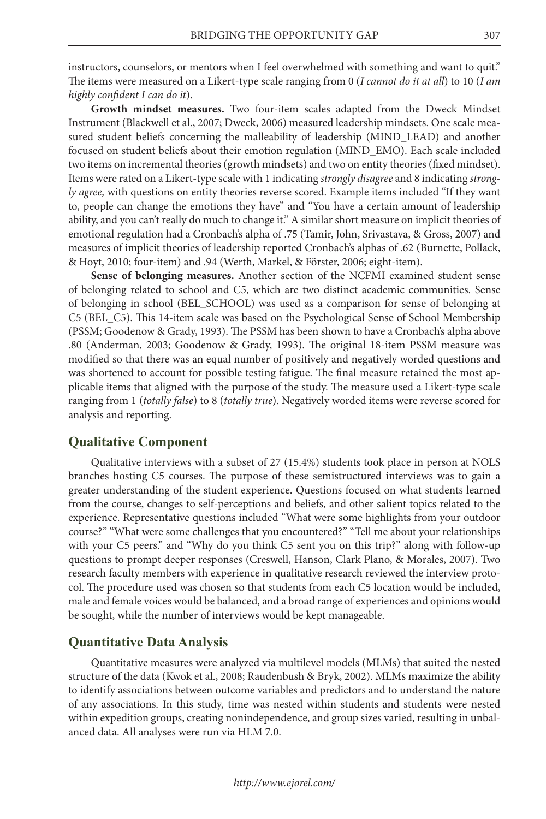instructors, counselors, or mentors when I feel overwhelmed with something and want to quit." The items were measured on a Likert-type scale ranging from 0 (*I cannot do it at all*) to 10 (*I am highly confident I can do it*).

**Growth mindset measures.** Two four-item scales adapted from the Dweck Mindset Instrument (Blackwell et al., 2007; Dweck, 2006) measured leadership mindsets. One scale measured student beliefs concerning the malleability of leadership (MIND\_LEAD) and another focused on student beliefs about their emotion regulation (MIND\_EMO). Each scale included two items on incremental theories (growth mindsets) and two on entity theories (fixed mindset). Items were rated on a Likert-type scale with 1 indicating *strongly disagree* and 8 indicating *strongly agree,* with questions on entity theories reverse scored. Example items included "If they want to, people can change the emotions they have" and "You have a certain amount of leadership ability, and you can't really do much to change it." A similar short measure on implicit theories of emotional regulation had a Cronbach's alpha of .75 (Tamir, John, Srivastava, & Gross, 2007) and measures of implicit theories of leadership reported Cronbach's alphas of .62 (Burnette, Pollack, & Hoyt, 2010; four-item) and .94 (Werth, Markel, & Förster, 2006; eight-item).

**Sense of belonging measures.** Another section of the NCFMI examined student sense of belonging related to school and C5, which are two distinct academic communities. Sense of belonging in school (BEL\_SCHOOL) was used as a comparison for sense of belonging at C5 (BEL\_C5). This 14-item scale was based on the Psychological Sense of School Membership (PSSM; Goodenow & Grady, 1993). The PSSM has been shown to have a Cronbach's alpha above .80 (Anderman, 2003; Goodenow & Grady, 1993). The original 18-item PSSM measure was modified so that there was an equal number of positively and negatively worded questions and was shortened to account for possible testing fatigue. The final measure retained the most applicable items that aligned with the purpose of the study. The measure used a Likert-type scale ranging from 1 (*totally false*) to 8 (*totally true*). Negatively worded items were reverse scored for analysis and reporting.

#### **Qualitative Component**

Qualitative interviews with a subset of 27 (15.4%) students took place in person at NOLS branches hosting C5 courses. The purpose of these semistructured interviews was to gain a greater understanding of the student experience. Questions focused on what students learned from the course, changes to self-perceptions and beliefs, and other salient topics related to the experience. Representative questions included "What were some highlights from your outdoor course?" "What were some challenges that you encountered?" "Tell me about your relationships with your C5 peers." and "Why do you think C5 sent you on this trip?" along with follow-up questions to prompt deeper responses (Creswell, Hanson, Clark Plano, & Morales, 2007). Two research faculty members with experience in qualitative research reviewed the interview protocol. The procedure used was chosen so that students from each C5 location would be included, male and female voices would be balanced, and a broad range of experiences and opinions would be sought, while the number of interviews would be kept manageable.

#### **Quantitative Data Analysis**

Quantitative measures were analyzed via multilevel models (MLMs) that suited the nested structure of the data (Kwok et al., 2008; Raudenbush & Bryk, 2002). MLMs maximize the ability to identify associations between outcome variables and predictors and to understand the nature of any associations. In this study, time was nested within students and students were nested within expedition groups, creating nonindependence, and group sizes varied, resulting in unbalanced data. All analyses were run via HLM 7.0.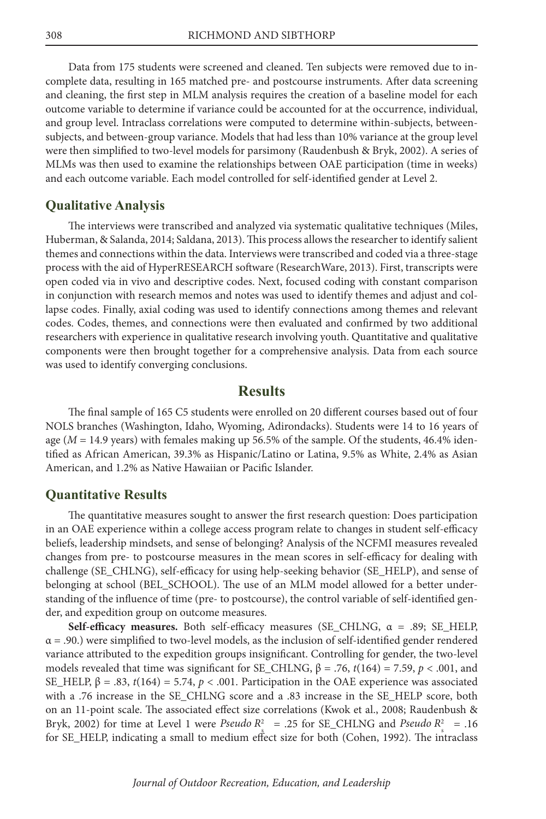Data from 175 students were screened and cleaned. Ten subjects were removed due to incomplete data, resulting in 165 matched pre- and postcourse instruments. After data screening and cleaning, the first step in MLM analysis requires the creation of a baseline model for each outcome variable to determine if variance could be accounted for at the occurrence, individual, and group level. Intraclass correlations were computed to determine within-subjects, betweensubjects, and between-group variance. Models that had less than 10% variance at the group level were then simplified to two-level models for parsimony (Raudenbush & Bryk, 2002). A series of MLMs was then used to examine the relationships between OAE participation (time in weeks) and each outcome variable. Each model controlled for self-identified gender at Level 2.

#### **Qualitative Analysis**

The interviews were transcribed and analyzed via systematic qualitative techniques (Miles, Huberman, & Salanda, 2014; Saldana, 2013). This process allows the researcher to identify salient themes and connections within the data. Interviews were transcribed and coded via a three-stage process with the aid of HyperRESEARCH software (ResearchWare, 2013). First, transcripts were open coded via in vivo and descriptive codes. Next, focused coding with constant comparison in conjunction with research memos and notes was used to identify themes and adjust and collapse codes. Finally, axial coding was used to identify connections among themes and relevant codes. Codes, themes, and connections were then evaluated and confirmed by two additional researchers with experience in qualitative research involving youth. Quantitative and qualitative components were then brought together for a comprehensive analysis. Data from each source was used to identify converging conclusions.

# **Results**

The final sample of 165 C5 students were enrolled on 20 different courses based out of four NOLS branches (Washington, Idaho, Wyoming, Adirondacks). Students were 14 to 16 years of age ( $M = 14.9$  years) with females making up 56.5% of the sample. Of the students,  $46.4\%$  identified as African American, 39.3% as Hispanic/Latino or Latina, 9.5% as White, 2.4% as Asian American, and 1.2% as Native Hawaiian or Pacific Islander.

#### **Quantitative Results**

The quantitative measures sought to answer the first research question: Does participation in an OAE experience within a college access program relate to changes in student self-efficacy beliefs, leadership mindsets, and sense of belonging? Analysis of the NCFMI measures revealed changes from pre- to postcourse measures in the mean scores in self-efficacy for dealing with challenge (SE\_CHLNG), self-efficacy for using help-seeking behavior (SE\_HELP), and sense of belonging at school (BEL\_SCHOOL). The use of an MLM model allowed for a better understanding of the influence of time (pre- to postcourse), the control variable of self-identified gender, and expedition group on outcome measures.

**Self-efficacy measures.** Both self-efficacy measures (SE\_CHLNG, α = .89; SE\_HELP,  $\alpha$  = .90.) were simplified to two-level models, as the inclusion of self-identified gender rendered variance attributed to the expedition groups insignificant. Controlling for gender, the two-level models revealed that time was significant for SE\_CHLNG,  $β = .76$ ,  $t(164) = 7.59$ ,  $p < .001$ , and SE\_HELP,  $β = .83$ ,  $t(164) = 5.74$ ,  $p < .001$ . Participation in the OAE experience was associated with a .76 increase in the SE\_CHLNG score and a .83 increase in the SE\_HELP score, both on an 11-point scale. The associated effect size correlations (Kwok et al., 2008; Raudenbush & Bryk, 2002) for time at Level 1 were *Pseudo*  $R_s^2$  = .25 for SE\_CHLNG and *Pseudo*  $R_s^2$  = .16 for SE\_HELP, indicating a small to medium effect size for both (Cohen, 1992). The intraclass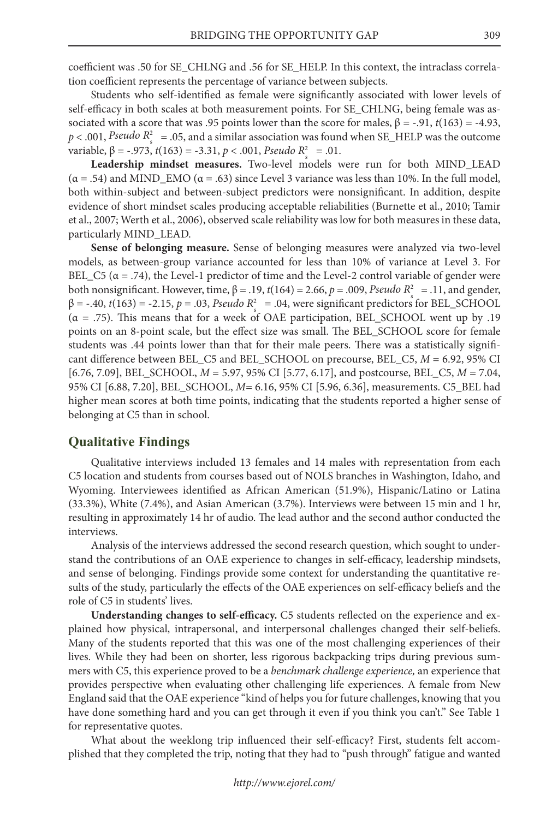coefficient was .50 for SE\_CHLNG and .56 for SE\_HELP. In this context, the intraclass correlation coefficient represents the percentage of variance between subjects.

Students who self-identified as female were significantly associated with lower levels of self-efficacy in both scales at both measurement points. For SE\_CHLNG, being female was associated with a score that was .95 points lower than the score for males,  $β = -.91$ ,  $t(163) = -4.93$ ,  $p < .001$ , *Pseudo R*<sup>2</sup> = .05, and a similar association was found when SE\_HELP was the outcome variable,  $\beta = -.973$ ,  $t(163) = -3.31$ ,  $p < .001$ , *Pseudo*  $R_s^2 = .01$ .

**Leadership mindset measures.** Two-level models were run for both MIND\_LEAD  $(\alpha = .54)$  and MIND\_EMO  $(\alpha = .63)$  since Level 3 variance was less than 10%. In the full model, both within-subject and between-subject predictors were nonsignificant. In addition, despite evidence of short mindset scales producing acceptable reliabilities (Burnette et al., 2010; Tamir et al., 2007; Werth et al., 2006), observed scale reliability was low for both measures in these data, particularly MIND\_LEAD.

**Sense of belonging measure.** Sense of belonging measures were analyzed via two-level models, as between-group variance accounted for less than 10% of variance at Level 3. For BEL\_C5 ( $\alpha$  = .74), the Level-1 predictor of time and the Level-2 control variable of gender were both nonsignificant. However, time,  $β = .19$ ,  $t(164) = 2.66$ ,  $p = .009$ , *Pseudo R*<sup>2</sup><sub>s</sub> = .11, and gender,  $β = -.40$ ,  $t(163) = -2.15$ ,  $p = .03$ , *Pseudo R*<sup>2</sup> = .04, were significant predictors for BEL\_SCHOOL (α = .75). This means that for a week of OAE participation, BEL\_SCHOOL went up by .19 points on an 8-point scale, but the effect size was small. The BEL\_SCHOOL score for female students was .44 points lower than that for their male peers. There was a statistically significant difference between BEL\_C5 and BEL\_SCHOOL on precourse, BEL\_C5, *M* = 6.92, 95% CI [6.76, 7.09], BEL\_SCHOOL, *M* = 5.97, 95% CI [5.77, 6.17], and postcourse, BEL\_C5, *M* = 7.04, 95% CI [6.88, 7.20], BEL\_SCHOOL, *M=* 6.16, 95% CI [5.96, 6.36], measurements. C5\_BEL had higher mean scores at both time points, indicating that the students reported a higher sense of belonging at C5 than in school.

#### **Qualitative Findings**

Qualitative interviews included 13 females and 14 males with representation from each C5 location and students from courses based out of NOLS branches in Washington, Idaho, and Wyoming. Interviewees identified as African American (51.9%), Hispanic/Latino or Latina (33.3%), White (7.4%), and Asian American (3.7%). Interviews were between 15 min and 1 hr, resulting in approximately 14 hr of audio. The lead author and the second author conducted the interviews.

Analysis of the interviews addressed the second research question, which sought to understand the contributions of an OAE experience to changes in self-efficacy, leadership mindsets, and sense of belonging. Findings provide some context for understanding the quantitative results of the study, particularly the effects of the OAE experiences on self-efficacy beliefs and the role of C5 in students' lives.

**Understanding changes to self-efficacy.** C5 students reflected on the experience and explained how physical, intrapersonal, and interpersonal challenges changed their self-beliefs. Many of the students reported that this was one of the most challenging experiences of their lives. While they had been on shorter, less rigorous backpacking trips during previous summers with C5, this experience proved to be a *benchmark challenge experience,* an experience that provides perspective when evaluating other challenging life experiences. A female from New England said that the OAE experience "kind of helps you for future challenges, knowing that you have done something hard and you can get through it even if you think you can't." See Table 1 for representative quotes.

What about the weeklong trip influenced their self-efficacy? First, students felt accomplished that they completed the trip, noting that they had to "push through" fatigue and wanted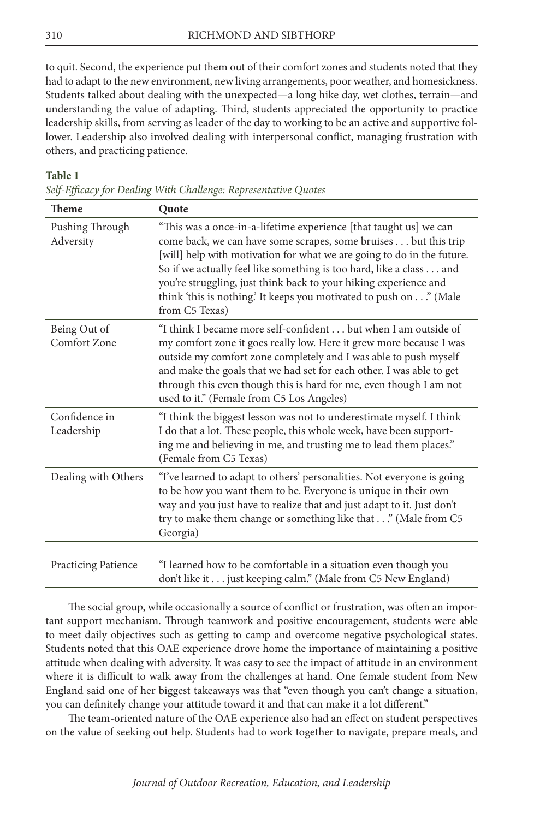to quit. Second, the experience put them out of their comfort zones and students noted that they had to adapt to the new environment, new living arrangements, poor weather, and homesickness. Students talked about dealing with the unexpected—a long hike day, wet clothes, terrain—and understanding the value of adapting. Third, students appreciated the opportunity to practice leadership skills, from serving as leader of the day to working to be an active and supportive follower. Leadership also involved dealing with interpersonal conflict, managing frustration with others, and practicing patience.

## **Table 1**

| <b>Theme</b>                 | Quote                                                                                                                                                                                                                                                                                                                                                                                                                                            |
|------------------------------|--------------------------------------------------------------------------------------------------------------------------------------------------------------------------------------------------------------------------------------------------------------------------------------------------------------------------------------------------------------------------------------------------------------------------------------------------|
| Pushing Through<br>Adversity | "This was a once-in-a-lifetime experience [that taught us] we can<br>come back, we can have some scrapes, some bruises but this trip<br>[will] help with motivation for what we are going to do in the future.<br>So if we actually feel like something is too hard, like a class and<br>you're struggling, just think back to your hiking experience and<br>think 'this is nothing.' It keeps you motivated to push on" (Male<br>from C5 Texas) |
| Being Out of<br>Comfort Zone | "I think I became more self-confident but when I am outside of<br>my comfort zone it goes really low. Here it grew more because I was<br>outside my comfort zone completely and I was able to push myself<br>and make the goals that we had set for each other. I was able to get<br>through this even though this is hard for me, even though I am not<br>used to it." (Female from C5 Los Angeles)                                             |
| Confidence in<br>Leadership  | "I think the biggest lesson was not to underestimate myself. I think<br>I do that a lot. These people, this whole week, have been support-<br>ing me and believing in me, and trusting me to lead them places."<br>(Female from C5 Texas)                                                                                                                                                                                                        |
| Dealing with Others          | "I've learned to adapt to others' personalities. Not everyone is going<br>to be how you want them to be. Everyone is unique in their own<br>way and you just have to realize that and just adapt to it. Just don't<br>try to make them change or something like that" (Male from C5<br>Georgia)                                                                                                                                                  |
| <b>Practicing Patience</b>   | "I learned how to be comfortable in a situation even though you<br>don't like it just keeping calm." (Male from C5 New England)                                                                                                                                                                                                                                                                                                                  |

*Self-Efficacy for Dealing With Challenge: Representative Quotes*

The social group, while occasionally a source of conflict or frustration, was often an important support mechanism. Through teamwork and positive encouragement, students were able to meet daily objectives such as getting to camp and overcome negative psychological states. Students noted that this OAE experience drove home the importance of maintaining a positive attitude when dealing with adversity. It was easy to see the impact of attitude in an environment where it is difficult to walk away from the challenges at hand. One female student from New England said one of her biggest takeaways was that "even though you can't change a situation, you can definitely change your attitude toward it and that can make it a lot different."

The team-oriented nature of the OAE experience also had an effect on student perspectives on the value of seeking out help. Students had to work together to navigate, prepare meals, and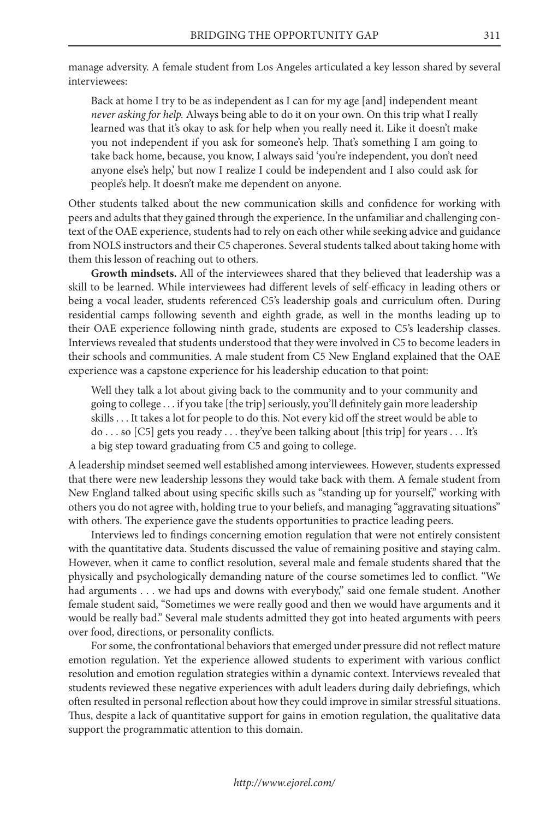manage adversity. A female student from Los Angeles articulated a key lesson shared by several interviewees:

Back at home I try to be as independent as I can for my age [and] independent meant *never asking for help.* Always being able to do it on your own. On this trip what I really learned was that it's okay to ask for help when you really need it. Like it doesn't make you not independent if you ask for someone's help. That's something I am going to take back home, because, you know, I always said 'you're independent, you don't need anyone else's help,' but now I realize I could be independent and I also could ask for people's help. It doesn't make me dependent on anyone.

Other students talked about the new communication skills and confidence for working with peers and adults that they gained through the experience. In the unfamiliar and challenging context of the OAE experience, students had to rely on each other while seeking advice and guidance from NOLS instructors and their C5 chaperones. Several students talked about taking home with them this lesson of reaching out to others.

**Growth mindsets.** All of the interviewees shared that they believed that leadership was a skill to be learned. While interviewees had different levels of self-efficacy in leading others or being a vocal leader, students referenced C5's leadership goals and curriculum often. During residential camps following seventh and eighth grade, as well in the months leading up to their OAE experience following ninth grade, students are exposed to C5's leadership classes. Interviews revealed that students understood that they were involved in C5 to become leaders in their schools and communities. A male student from C5 New England explained that the OAE experience was a capstone experience for his leadership education to that point:

Well they talk a lot about giving back to the community and to your community and going to college . . . if you take [the trip] seriously, you'll definitely gain more leadership skills . . . It takes a lot for people to do this. Not every kid off the street would be able to do . . . so [C5] gets you ready . . . they've been talking about [this trip] for years . . . It's a big step toward graduating from C5 and going to college.

A leadership mindset seemed well established among interviewees. However, students expressed that there were new leadership lessons they would take back with them. A female student from New England talked about using specific skills such as "standing up for yourself," working with others you do not agree with, holding true to your beliefs, and managing "aggravating situations" with others. The experience gave the students opportunities to practice leading peers.

Interviews led to findings concerning emotion regulation that were not entirely consistent with the quantitative data. Students discussed the value of remaining positive and staying calm. However, when it came to conflict resolution, several male and female students shared that the physically and psychologically demanding nature of the course sometimes led to conflict. "We had arguments . . . we had ups and downs with everybody," said one female student. Another female student said, "Sometimes we were really good and then we would have arguments and it would be really bad." Several male students admitted they got into heated arguments with peers over food, directions, or personality conflicts.

For some, the confrontational behaviors that emerged under pressure did not reflect mature emotion regulation. Yet the experience allowed students to experiment with various conflict resolution and emotion regulation strategies within a dynamic context. Interviews revealed that students reviewed these negative experiences with adult leaders during daily debriefings, which often resulted in personal reflection about how they could improve in similar stressful situations. Thus, despite a lack of quantitative support for gains in emotion regulation, the qualitative data support the programmatic attention to this domain.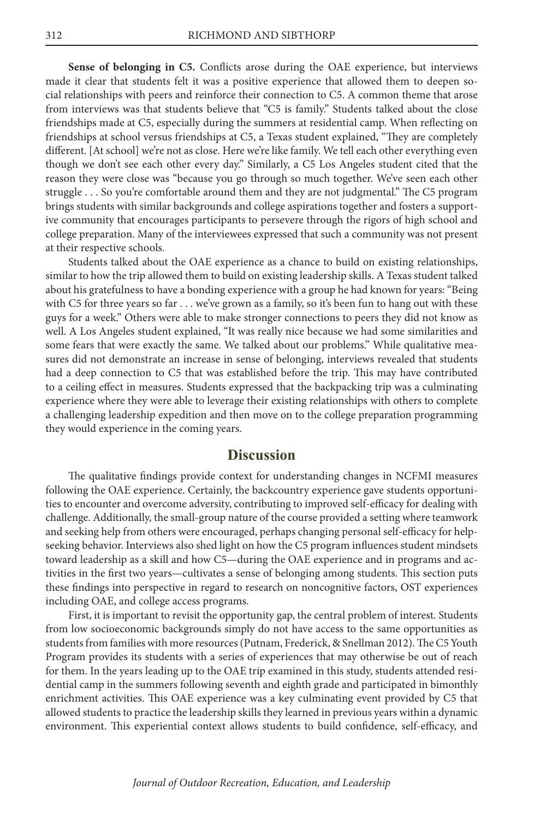**Sense of belonging in C5.** Conflicts arose during the OAE experience, but interviews made it clear that students felt it was a positive experience that allowed them to deepen social relationships with peers and reinforce their connection to C5. A common theme that arose from interviews was that students believe that "C5 is family." Students talked about the close friendships made at C5, especially during the summers at residential camp. When reflecting on friendships at school versus friendships at C5, a Texas student explained, "They are completely different. [At school] we're not as close. Here we're like family. We tell each other everything even though we don't see each other every day." Similarly, a C5 Los Angeles student cited that the reason they were close was "because you go through so much together. We've seen each other struggle . . . So you're comfortable around them and they are not judgmental." The C5 program brings students with similar backgrounds and college aspirations together and fosters a supportive community that encourages participants to persevere through the rigors of high school and college preparation. Many of the interviewees expressed that such a community was not present at their respective schools.

Students talked about the OAE experience as a chance to build on existing relationships, similar to how the trip allowed them to build on existing leadership skills. A Texas student talked about his gratefulness to have a bonding experience with a group he had known for years: "Being with C5 for three years so far . . . we've grown as a family, so it's been fun to hang out with these guys for a week." Others were able to make stronger connections to peers they did not know as well. A Los Angeles student explained, "It was really nice because we had some similarities and some fears that were exactly the same. We talked about our problems." While qualitative measures did not demonstrate an increase in sense of belonging, interviews revealed that students had a deep connection to C5 that was established before the trip. This may have contributed to a ceiling effect in measures. Students expressed that the backpacking trip was a culminating experience where they were able to leverage their existing relationships with others to complete a challenging leadership expedition and then move on to the college preparation programming they would experience in the coming years.

# **Discussion**

The qualitative findings provide context for understanding changes in NCFMI measures following the OAE experience. Certainly, the backcountry experience gave students opportunities to encounter and overcome adversity, contributing to improved self-efficacy for dealing with challenge. Additionally, the small-group nature of the course provided a setting where teamwork and seeking help from others were encouraged, perhaps changing personal self-efficacy for helpseeking behavior. Interviews also shed light on how the C5 program influences student mindsets toward leadership as a skill and how C5—during the OAE experience and in programs and activities in the first two years—cultivates a sense of belonging among students. This section puts these findings into perspective in regard to research on noncognitive factors, OST experiences including OAE, and college access programs.

First, it is important to revisit the opportunity gap, the central problem of interest. Students from low socioeconomic backgrounds simply do not have access to the same opportunities as students from families with more resources (Putnam, Frederick, & Snellman 2012). The C5 Youth Program provides its students with a series of experiences that may otherwise be out of reach for them. In the years leading up to the OAE trip examined in this study, students attended residential camp in the summers following seventh and eighth grade and participated in bimonthly enrichment activities. This OAE experience was a key culminating event provided by C5 that allowed students to practice the leadership skills they learned in previous years within a dynamic environment. This experiential context allows students to build confidence, self-efficacy, and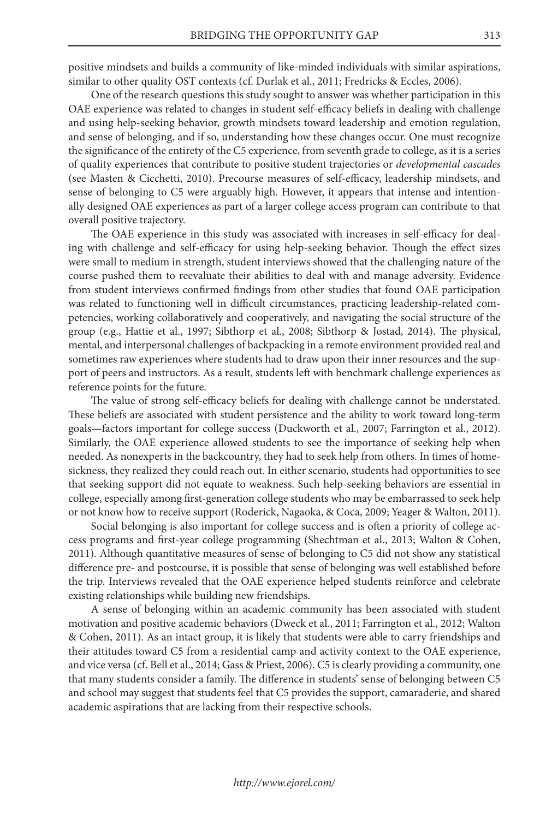positive mindsets and builds a community of like-minded individuals with similar aspirations, similar to other quality OST contexts (cf. Durlak et al., 2011; Fredricks & Eccles, 2006).

One of the research questions this study sought to answer was whether participation in this OAE experience was related to changes in student self-efficacy beliefs in dealing with challenge and using help-seeking behavior, growth mindsets toward leadership and emotion regulation, and sense of belonging, and if so, understanding how these changes occur. One must recognize the significance of the entirety of the C5 experience, from seventh grade to college, as it is a series of quality experiences that contribute to positive student trajectories or *developmental cascades* (see Masten & Cicchetti, 2010). Precourse measures of self-efficacy, leadership mindsets, and sense of belonging to C5 were arguably high. However, it appears that intense and intentionally designed OAE experiences as part of a larger college access program can contribute to that overall positive trajectory.

The OAE experience in this study was associated with increases in self-efficacy for dealing with challenge and self-efficacy for using help-seeking behavior. Though the effect sizes were small to medium in strength, student interviews showed that the challenging nature of the course pushed them to reevaluate their abilities to deal with and manage adversity. Evidence from student interviews confirmed findings from other studies that found OAE participation was related to functioning well in difficult circumstances, practicing leadership-related competencies, working collaboratively and cooperatively, and navigating the social structure of the group (e.g., Hattie et al., 1997; Sibthorp et al., 2008; Sibthorp & Jostad, 2014). The physical, mental, and interpersonal challenges of backpacking in a remote environment provided real and sometimes raw experiences where students had to draw upon their inner resources and the support of peers and instructors. As a result, students left with benchmark challenge experiences as reference points for the future.

The value of strong self-efficacy beliefs for dealing with challenge cannot be understated. These beliefs are associated with student persistence and the ability to work toward long-term goals—factors important for college success (Duckworth et al., 2007; Farrington et al., 2012). Similarly, the OAE experience allowed students to see the importance of seeking help when needed. As nonexperts in the backcountry, they had to seek help from others. In times of homesickness, they realized they could reach out. In either scenario, students had opportunities to see that seeking support did not equate to weakness. Such help-seeking behaviors are essential in college, especially among first-generation college students who may be embarrassed to seek help or not know how to receive support (Roderick, Nagaoka, & Coca, 2009; Yeager & Walton, 2011).

Social belonging is also important for college success and is often a priority of college access programs and first-year college programming (Shechtman et al., 2013; Walton & Cohen, 2011). Although quantitative measures of sense of belonging to C5 did not show any statistical difference pre- and postcourse, it is possible that sense of belonging was well established before the trip. Interviews revealed that the OAE experience helped students reinforce and celebrate existing relationships while building new friendships.

A sense of belonging within an academic community has been associated with student motivation and positive academic behaviors (Dweck et al., 2011; Farrington et al., 2012; Walton & Cohen, 2011). As an intact group, it is likely that students were able to carry friendships and their attitudes toward C5 from a residential camp and activity context to the OAE experience, and vice versa (cf. Bell et al., 2014; Gass & Priest, 2006). C5 is clearly providing a community, one that many students consider a family. The difference in students' sense of belonging between C5 and school may suggest that students feel that C5 provides the support, camaraderie, and shared academic aspirations that are lacking from their respective schools.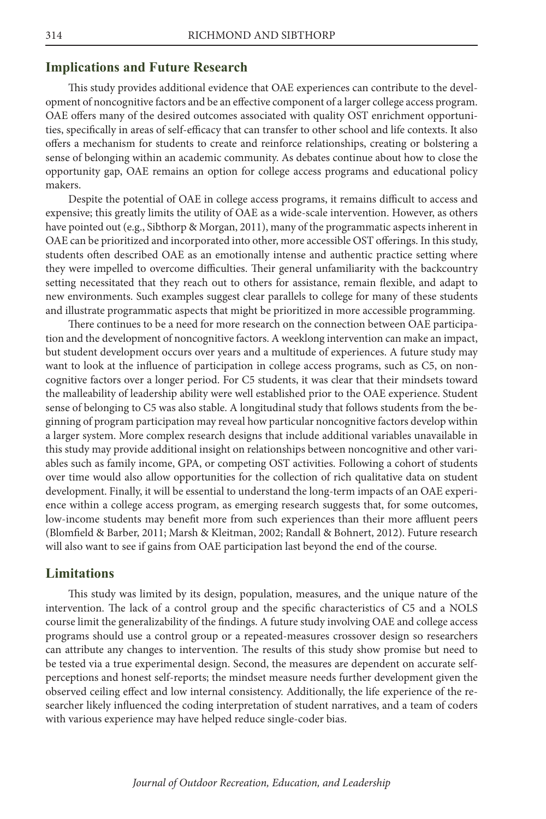#### **Implications and Future Research**

This study provides additional evidence that OAE experiences can contribute to the development of noncognitive factors and be an effective component of a larger college access program. OAE offers many of the desired outcomes associated with quality OST enrichment opportunities, specifically in areas of self-efficacy that can transfer to other school and life contexts. It also offers a mechanism for students to create and reinforce relationships, creating or bolstering a sense of belonging within an academic community. As debates continue about how to close the opportunity gap, OAE remains an option for college access programs and educational policy makers.

Despite the potential of OAE in college access programs, it remains difficult to access and expensive; this greatly limits the utility of OAE as a wide-scale intervention. However, as others have pointed out (e.g., Sibthorp & Morgan, 2011), many of the programmatic aspects inherent in OAE can be prioritized and incorporated into other, more accessible OST offerings. In this study, students often described OAE as an emotionally intense and authentic practice setting where they were impelled to overcome difficulties. Their general unfamiliarity with the backcountry setting necessitated that they reach out to others for assistance, remain flexible, and adapt to new environments. Such examples suggest clear parallels to college for many of these students and illustrate programmatic aspects that might be prioritized in more accessible programming.

There continues to be a need for more research on the connection between OAE participation and the development of noncognitive factors. A weeklong intervention can make an impact, but student development occurs over years and a multitude of experiences. A future study may want to look at the influence of participation in college access programs, such as C5, on noncognitive factors over a longer period. For C5 students, it was clear that their mindsets toward the malleability of leadership ability were well established prior to the OAE experience. Student sense of belonging to C5 was also stable. A longitudinal study that follows students from the beginning of program participation may reveal how particular noncognitive factors develop within a larger system. More complex research designs that include additional variables unavailable in this study may provide additional insight on relationships between noncognitive and other variables such as family income, GPA, or competing OST activities. Following a cohort of students over time would also allow opportunities for the collection of rich qualitative data on student development. Finally, it will be essential to understand the long-term impacts of an OAE experience within a college access program, as emerging research suggests that, for some outcomes, low-income students may benefit more from such experiences than their more affluent peers (Blomfield & Barber, 2011; Marsh & Kleitman, 2002; Randall & Bohnert, 2012). Future research will also want to see if gains from OAE participation last beyond the end of the course.

#### **Limitations**

This study was limited by its design, population, measures, and the unique nature of the intervention. The lack of a control group and the specific characteristics of C5 and a NOLS course limit the generalizability of the findings. A future study involving OAE and college access programs should use a control group or a repeated-measures crossover design so researchers can attribute any changes to intervention. The results of this study show promise but need to be tested via a true experimental design. Second, the measures are dependent on accurate selfperceptions and honest self-reports; the mindset measure needs further development given the observed ceiling effect and low internal consistency. Additionally, the life experience of the researcher likely influenced the coding interpretation of student narratives, and a team of coders with various experience may have helped reduce single-coder bias.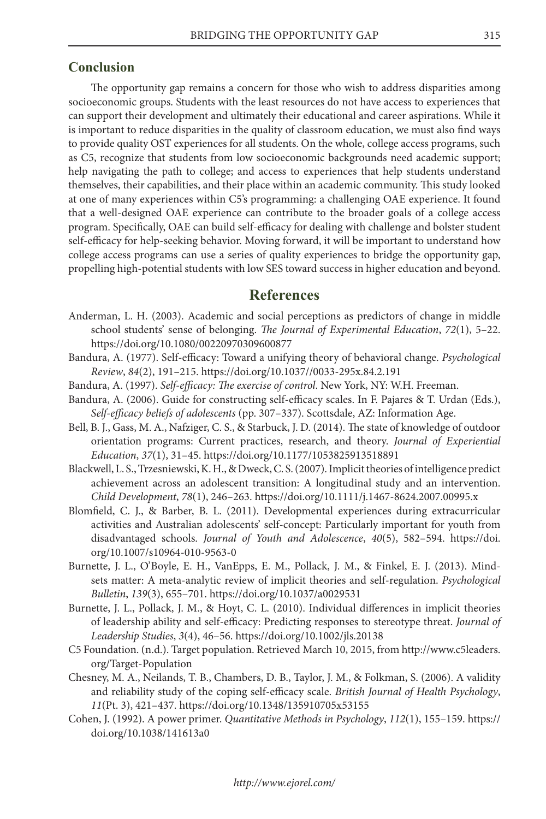#### **Conclusion**

The opportunity gap remains a concern for those who wish to address disparities among socioeconomic groups. Students with the least resources do not have access to experiences that can support their development and ultimately their educational and career aspirations. While it is important to reduce disparities in the quality of classroom education, we must also find ways to provide quality OST experiences for all students. On the whole, college access programs, such as C5, recognize that students from low socioeconomic backgrounds need academic support; help navigating the path to college; and access to experiences that help students understand themselves, their capabilities, and their place within an academic community. This study looked at one of many experiences within C5's programming: a challenging OAE experience. It found that a well-designed OAE experience can contribute to the broader goals of a college access program. Specifically, OAE can build self-efficacy for dealing with challenge and bolster student self-efficacy for help-seeking behavior. Moving forward, it will be important to understand how college access programs can use a series of quality experiences to bridge the opportunity gap, propelling high-potential students with low SES toward success in higher education and beyond.

# **References**

- Anderman, L. H. (2003). Academic and social perceptions as predictors of change in middle school students' sense of belonging. *The Journal of Experimental Education*, *72*(1), 5–22. https://doi.org/10.1080/00220970309600877
- Bandura, A. (1977). Self-efficacy: Toward a unifying theory of behavioral change. *Psychological Review*, *84*(2), 191–215. https://doi.org/10.1037//0033-295x.84.2.191
- Bandura, A. (1997). *Self-efficacy: The exercise of control*. New York, NY: W.H. Freeman.
- Bandura, A. (2006). Guide for constructing self-efficacy scales. In F. Pajares & T. Urdan (Eds.), *Self-efficacy beliefs of adolescents* (pp. 307–337). Scottsdale, AZ: Information Age.
- Bell, B. J., Gass, M. A., Nafziger, C. S., & Starbuck, J. D. (2014). The state of knowledge of outdoor orientation programs: Current practices, research, and theory. *Journal of Experiential Education*, *37*(1), 31–45. https://doi.org/10.1177/1053825913518891
- Blackwell, L. S., Trzesniewski, K. H., & Dweck, C. S. (2007). Implicit theories of intelligence predict achievement across an adolescent transition: A longitudinal study and an intervention. *Child Development*, *78*(1), 246–263. https://doi.org/10.1111/j.1467-8624.2007.00995.x
- Blomfield, C. J., & Barber, B. L. (2011). Developmental experiences during extracurricular activities and Australian adolescents' self-concept: Particularly important for youth from disadvantaged schools. *Journal of Youth and Adolescence*, *40*(5), 582–594. [https://doi.](https://doi.org/10.1007/s10964-010-9563-0) [org/10.1007/s10964-010-9563-0](https://doi.org/10.1007/s10964-010-9563-0)
- Burnette, J. L., O'Boyle, E. H., VanEpps, E. M., Pollack, J. M., & Finkel, E. J. (2013). Mindsets matter: A meta-analytic review of implicit theories and self-regulation. *Psychological Bulletin*, *139*(3), 655–701. https://doi.org/10.1037/a0029531
- Burnette, J. L., Pollack, J. M., & Hoyt, C. L. (2010). Individual differences in implicit theories of leadership ability and self-efficacy: Predicting responses to stereotype threat. *Journal of Leadership Studies*, *3*(4), 46–56. https://doi.org/10.1002/jls.20138
- C5 Foundation. (n.d.). Target population. Retrieved March 10, 2015, from http://www.c5leaders. org/Target-Population
- Chesney, M. A., Neilands, T. B., Chambers, D. B., Taylor, J. M., & Folkman, S. (2006). A validity and reliability study of the coping self-efficacy scale. *British Journal of Health Psychology*, *11*(Pt. 3), 421–437. https://doi.org/10.1348/135910705x53155
- Cohen, J. (1992). A power primer. *Quantitative Methods in Psychology*, *112*(1), 155–159. https:// doi.org/10.1038/141613a0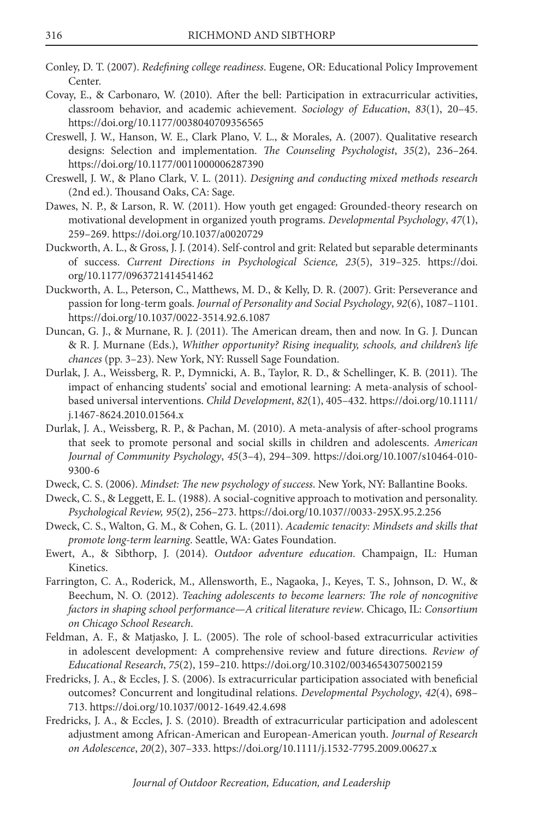- Conley, D. T. (2007). *Redefining college readiness*. Eugene, OR: Educational Policy Improvement Center.
- Covay, E., & Carbonaro, W. (2010). After the bell: Participation in extracurricular activities, classroom behavior, and academic achievement. *Sociology of Education*, *83*(1), 20–45. https://doi.org/10.1177/0038040709356565
- Creswell, J. W., Hanson, W. E., Clark Plano, V. L., & Morales, A. (2007). Qualitative research designs: Selection and implementation. *The Counseling Psychologist*, *35*(2), 236–264. https://doi.org/10.1177/0011000006287390
- Creswell, J. W., & Plano Clark, V. L. (2011). *Designing and conducting mixed methods research* (2nd ed.). Thousand Oaks, CA: Sage.
- Dawes, N. P., & Larson, R. W. (2011). How youth get engaged: Grounded-theory research on motivational development in organized youth programs. *Developmental Psychology*, *47*(1), 259–269. https://doi.org/10.1037/a0020729
- Duckworth, A. L., & Gross, J. J. (2014). Self-control and grit: Related but separable determinants of success. *Current Directions in Psychological Science, 23*(5), 319–325. [https://doi.](https://doi.org/10.1177/0963721414541462) [org/10.1177/0963721414541462](https://doi.org/10.1177/0963721414541462)
- Duckworth, A. L., Peterson, C., Matthews, M. D., & Kelly, D. R. (2007). Grit: Perseverance and passion for long-term goals. *Journal of Personality and Social Psychology*, *92*(6), 1087–1101. https://doi.org/10.1037/0022-3514.92.6.1087
- Duncan, G. J., & Murnane, R. J. (2011). The American dream, then and now. In G. J. Duncan & R. J. Murnane (Eds.), *Whither opportunity? Rising inequality, schools, and children's life chances* (pp. 3–23). New York, NY: Russell Sage Foundation.
- Durlak, J. A., Weissberg, R. P., Dymnicki, A. B., Taylor, R. D., & Schellinger, K. B. (2011). The impact of enhancing students' social and emotional learning: A meta-analysis of schoolbased universal interventions. *Child Development*, *82*(1), 405–432. [https://doi.org/10.1111/](https://doi.org/10.1111/j.1467-8624.2010.01564.x) [j.1467-8624.2010.01564.x](https://doi.org/10.1111/j.1467-8624.2010.01564.x)
- Durlak, J. A., Weissberg, R. P., & Pachan, M. (2010). A meta-analysis of after-school programs that seek to promote personal and social skills in children and adolescents. *American Journal of Community Psychology*, *45*(3–4), 294–309. [https://doi.org/10.1007/s10464-010-](https://doi.org/10.1007/s10464-010-9300-6) [9300-6](https://doi.org/10.1007/s10464-010-9300-6)
- Dweck, C. S. (2006). *[Mindset: The new psychology of success](https://doi.org/10.1007/s10464-010-9300-6)*. New York, NY: Ballantine Books.
- [Dweck, C. S., & Leggett, E. L. \(1988\). A social-cognitive approach to motivation and personality.](https://doi.org/10.1007/s10464-010-9300-6)  *Psychological Review, 95*[\(2\), 256–273. https://doi.org/10.1037//0033-295X.95.2.256](https://doi.org/10.1007/s10464-010-9300-6)
- Dweck, C. S., Walton, G. M., & Cohen, G. L. (2011). *Academic tenacity: Mindsets and skills that promote long-term learning*. Seattle, WA: Gates Foundation.
- Ewert, A., & Sibthorp, J. (2014). *Outdoor adventure education*. Champaign, IL: Human Kinetics.
- Farrington, C. A., Roderick, M., Allensworth, E., Nagaoka, J., Keyes, T. S., Johnson, D. W., & Beechum, N. O. (2012). *Teaching adolescents to become learners: The role of noncognitive factors in shaping school performance—A critical literature review*. Chicago, IL: *Consortium on Chicago School Research*.
- Feldman, A. F., & Matjasko, J. L. (2005). The role of school-based extracurricular activities in adolescent development: A comprehensive review and future directions. *Review of Educational Research*, *75*(2), 159–210. https://doi.org/10.3102/00346543075002159
- Fredricks, J. A., & Eccles, J. S. (2006). Is extracurricular participation associated with beneficial outcomes? Concurrent and longitudinal relations. *Developmental Psychology*, *42*(4), 698– 713. https://doi.org/10.1037/0012-1649.42.4.698
- Fredricks, J. A., & Eccles, J. S. (2010). Breadth of extracurricular participation and adolescent adjustment among African-American and European-American youth. *Journal of Research on Adolescence*, *20*(2), 307–333. https://doi.org/10.1111/j.1532-7795.2009.00627.x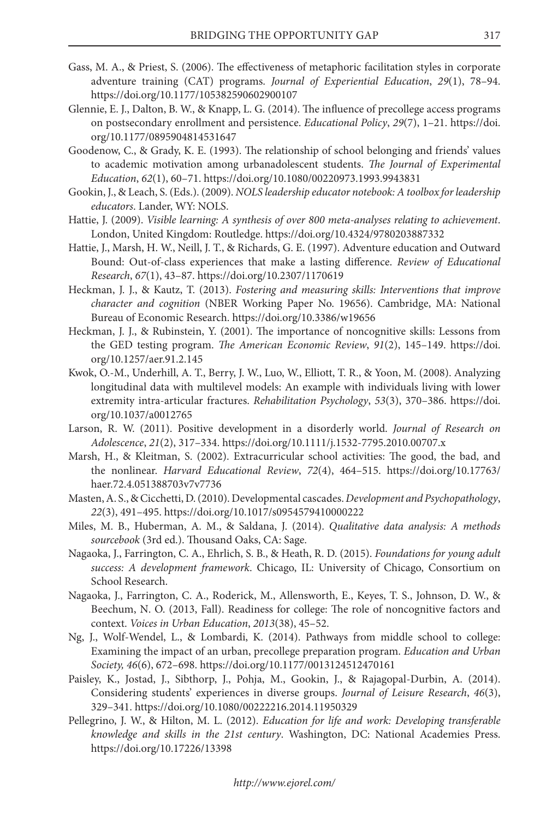- Gass, M. A., & Priest, S. (2006). The effectiveness of metaphoric facilitation styles in corporate adventure training (CAT) programs. *Journal of Experiential Education*, *29*(1), 78–94. https://doi.org/10.1177/105382590602900107
- Glennie, E. J., Dalton, B. W., & Knapp, L. G. (2014). The influence of precollege access programs on postsecondary enrollment and persistence. *Educational Policy*, *29*(7), 1–21. [https://doi.](https://doi.org/10.1177/0895904814531647) [org/10.1177/0895904814531647](https://doi.org/10.1177/0895904814531647)
- Goodenow, C., & Grady, K. E. (1993). The relationship of school belonging and friends' values to academic motivation among urbanadolescent students. *The Journal of Experimental Education*, *62*(1), 60–71. https://doi.org/10.1080/00220973.1993.9943831
- Gookin, J., & Leach, S. (Eds.). (2009). *NOLS leadership educator notebook: A toolbox for leadership educators*. Lander, WY: NOLS.
- Hattie, J. (2009). *Visible learning: A synthesis of over 800 meta-analyses relating to achievement*. London, United Kingdom: Routledge. https://doi.org/10.4324/9780203887332
- Hattie, J., Marsh, H. W., Neill, J. T., & Richards, G. E. (1997). Adventure education and Outward Bound: Out-of-class experiences that make a lasting difference. *Review of Educational Research*, *67*(1), 43–87. https://doi.org/10.2307/1170619
- Heckman, J. J., & Kautz, T. (2013). *Fostering and measuring skills: Interventions that improve character and cognition* (NBER Working Paper No. 19656). Cambridge, MA: National Bureau of Economic Research. https://doi.org/10.3386/w19656
- Heckman, J. J., & Rubinstein, Y. (2001). The importance of noncognitive skills: Lessons from the GED testing program. *The American Economic Review*, *91*(2), 145–149. [https://doi.](https://doi.org/10.1257/aer.91.2.145) [org/10.1257/aer.91.2.145](https://doi.org/10.1257/aer.91.2.145)
- Kwok, O.-M., Underhill, A. T., Berry, J. W., Luo, W., Elliott, T. R., & Yoon, M. (2008). Analyzing longitudinal data with multilevel models: An example with individuals living with lower extremity intra-articular fractures. *Rehabilitation Psychology*, *53*(3), 370–386[. https://doi.](https://doi.org/10.1037/a0012765) [org/10.1037/a0012765](https://doi.org/10.1037/a0012765)
- Larson, R. W. (2011). Positive development in a disorderly world. *Journal of Research on Adolescence*, *21*(2), 317–334. https://doi.org/10.1111/j.1532-7795.2010.00707.x
- Marsh, H., & Kleitman, S. (2002). Extracurricular school activities: The good, the bad, and the nonlinear. *Harvard Educational Review*, *72*(4), 464–515. [https://doi.org/10.17763/](https://doi.org/10.17763/haer.72.4.051388703v7v7736) [haer.72.4.051388703v7v7736](https://doi.org/10.17763/haer.72.4.051388703v7v7736)
- Masten, A. S., & Cicchetti, D. (2010). Developmental cascades. *Development and Psychopathology*, *22*(3), 491–495. https://doi.org/10.1017/s0954579410000222
- Miles, M. B., Huberman, A. M., & Saldana, J. (2014). *Qualitative data analysis: A methods sourcebook* (3rd ed.). Thousand Oaks, CA: Sage.
- Nagaoka, J., Farrington, C. A., Ehrlich, S. B., & Heath, R. D. (2015). *Foundations for young adult success: A development framework*. Chicago, IL: University of Chicago, Consortium on School Research.
- Nagaoka, J., Farrington, C. A., Roderick, M., Allensworth, E., Keyes, T. S., Johnson, D. W., & Beechum, N. O. (2013, Fall). Readiness for college: The role of noncognitive factors and context. *Voices in Urban Education*, *2013*(38), 45–52.
- Ng, J., Wolf-Wendel, L., & Lombardi, K. (2014). Pathways from middle school to college: Examining the impact of an urban, precollege preparation program. *Education and Urban Society, 46*(6), 672–698. https://doi.org/10.1177/0013124512470161
- Paisley, K., Jostad, J., Sibthorp, J., Pohja, M., Gookin, J., & Rajagopal-Durbin, A. (2014). Considering students' experiences in diverse groups. *Journal of Leisure Research*, *46*(3), 329–341. https://doi.org/10.1080/00222216.2014.11950329
- Pellegrino, J. W., & Hilton, M. L. (2012). *Education for life and work: Developing transferable knowledge and skills in the 21st century*. Washington, DC: National Academies Press. https://doi.org/10.17226/13398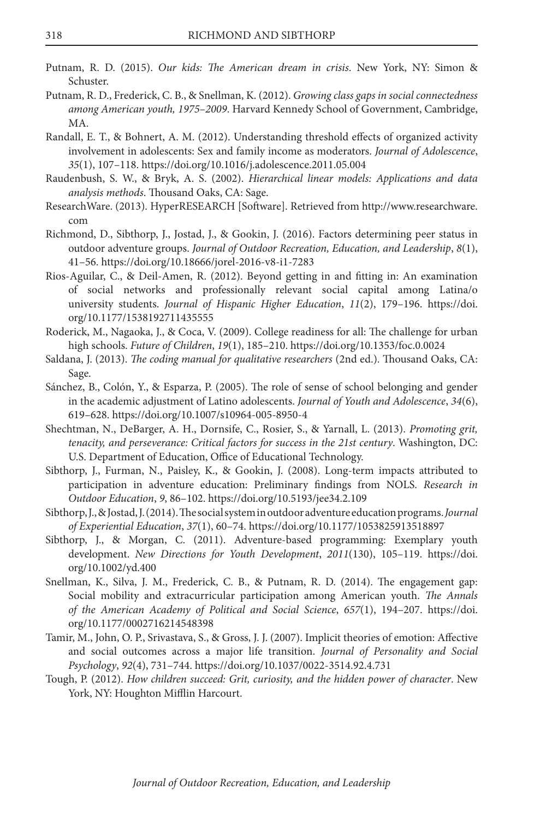- Putnam, R. D. (2015). *Our kids: The American dream in crisis*. New York, NY: Simon & Schuster.
- Putnam, R. D., Frederick, C. B., & Snellman, K. (2012). *Growing class gaps in social connectedness among American youth, 1975–2009*. Harvard Kennedy School of Government, Cambridge, MA.
- Randall, E. T., & Bohnert, A. M. (2012). Understanding threshold effects of organized activity involvement in adolescents: Sex and family income as moderators. *Journal of Adolescence*, *35*(1), 107–118. https://doi.org/10.1016/j.adolescence.2011.05.004
- Raudenbush, S. W., & Bryk, A. S. (2002). *Hierarchical linear models: Applications and data analysis methods*. Thousand Oaks, CA: Sage.
- ResearchWare. (2013). HyperRESEARCH [Software]. Retrieved from http://www.researchware. com
- Richmond, D., Sibthorp, J., Jostad, J., & Gookin, J. (2016). Factors determining peer status in outdoor adventure groups. *Journal of Outdoor Recreation, Education, and Leadership*, *8*(1), 41–56. https://doi.org/10.18666/jorel-2016-v8-i1-7283
- Rios-Aguilar, C., & Deil-Amen, R. (2012). Beyond getting in and fitting in: An examination of social networks and professionally relevant social capital among Latina/o university students. *Journal of Hispanic Higher Education*, *11*(2), 179–196. [https://doi.](https://doi.org/10.1177/1538192711435555) [org/10.1177/1538192711435555](https://doi.org/10.1177/1538192711435555)
- Roderick, M., Nagaoka, J., & Coca, V. (2009). College readiness for all: The challenge for urban high schools. *Future of Children*, *19*(1), 185–210. https://doi.org/10.1353/foc.0.0024
- Saldana, J. (2013). *The coding manual for qualitative researchers* (2nd ed.). Thousand Oaks, CA: Sage.
- Sánchez, B., Colón, Y., & Esparza, P. (2005). The role of sense of school belonging and gender in the academic adjustment of Latino adolescents. *Journal of Youth and Adolescence*, *34*(6), 619–628. https://doi.org/10.1007/s10964-005-8950-4
- Shechtman, N., DeBarger, A. H., Dornsife, C., Rosier, S., & Yarnall, L. (2013). *Promoting grit, tenacity, and perseverance: Critical factors for success in the 21st century*. Washington, DC: U.S. Department of Education, Office of Educational Technology.
- Sibthorp, J., Furman, N., Paisley, K., & Gookin, J. (2008). Long-term impacts attributed to participation in adventure education: Preliminary findings from NOLS. *Research in Outdoor Education*, *9*, 86–102. https://doi.org/10.5193/jee34.2.109
- Sibthorp, J., & Jostad, J. (2014). The social system in outdoor adventure education programs. *Journal of Experiential Education*, *37*(1), 60–74. https://doi.org/10.1177/1053825913518897
- Sibthorp, J., & Morgan, C. (2011). Adventure-based programming: Exemplary youth development. *New Directions for Youth Development*, *2011*(130), 105–119. [https://doi.](https://doi.org/10.1002/yd.400) [org/10.1002/yd.400](https://doi.org/10.1002/yd.400)
- Snellman, K., Silva, J. M., Frederick, C. B., & Putnam, R. D. (2014). The engagement gap: Social mobility and extracurricular participation among American youth. *The Annals of the American Academy of Political and Social Science*, *657*(1), 194–207. [https://doi.](https://doi.org/10.1177/0002716214548398) [org/10.1177/0002716214548398](https://doi.org/10.1177/0002716214548398)
- Tamir, M., John, O. P., Srivastava, S., & Gross, J. J. (2007). Implicit theories of emotion: Affective and social outcomes across a major life transition. *Journal of Personality and Social Psychology*, *92*(4), 731–744. https://doi.org/10.1037/0022-3514.92.4.731
- Tough, P. (2012). *How children succeed: Grit, curiosity, and the hidden power of character*. New York, NY: Houghton Mifflin Harcourt.